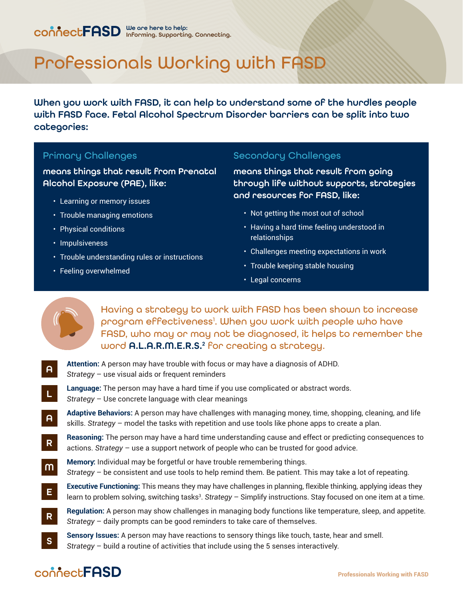# Professionals Working with FASD

When you work with FASD, it can help to understand some of the hurdles people with FASD face. Fetal Alcohol Spectrum Disorder barriers can be split into two categories:

### Primary Challenges

means things that result from Prenatal Alcohol Exposure (PAE), like:

- Learning or memory issues
- Trouble managing emotions
- Physical conditions
- Impulsiveness
- Trouble understanding rules or instructions
- Feeling overwhelmed

Secondary Challenges

means things that result from going through life without supports, strategies and resources for FASD, like:

- Not getting the most out of school
- Having a hard time feeling understood in relationships
- Challenges meeting expectations in work
- Trouble keeping stable housing
- Legal concerns



Having a strategy to work with FASD has been shown to increase program effectiveness<sup>1</sup>. When you work with people who have FASD, who may or may not be diagnosed, it helps to remember the word **A.L.A.R.M.E.R.S.<sup>2</sup> for** creating a strategy.

**Attention:** A person may have trouble with focus or may have a diagnosis of ADHD. *Strategy* – use visual aids or frequent reminders A

- **Language:** The person may have a hard time if you use complicated or abstract words. *Strategy* – Use concrete language with clear meanings L
- **Adaptive Behaviors:** A person may have challenges with managing money, time, shopping, cleaning, and life skills. *Strategy* – model the tasks with repetition and use tools like phone apps to create a plan. A
- **Reasoning:** The person may have a hard time understanding cause and effect or predicting consequences to actions. *Strategy* – use a support network of people who can be trusted for good advice. R
- **Memory:** Individual may be forgetful or have trouble remembering things. *Strategy* – be consistent and use tools to help remind them. Be patient. This may take a lot of repeating. M
- **Executive Functioning:** This means they may have challenges in planning, flexible thinking, applying ideas they learn to problem solving, switching tasks<sup>3</sup>. Strategy – Simplify instructions. Stay focused on one item at a time. E
- **Regulation:** A person may show challenges in managing body functions like temperature, sleep, and appetite. *Strategy* – daily prompts can be good reminders to take care of themselves. R
- **Sensory Issues:** A person may have reactions to sensory things like touch, taste, hear and smell. *Strategy* – build a routine of activities that include using the 5 senses interactively. S

## connect**FASD**